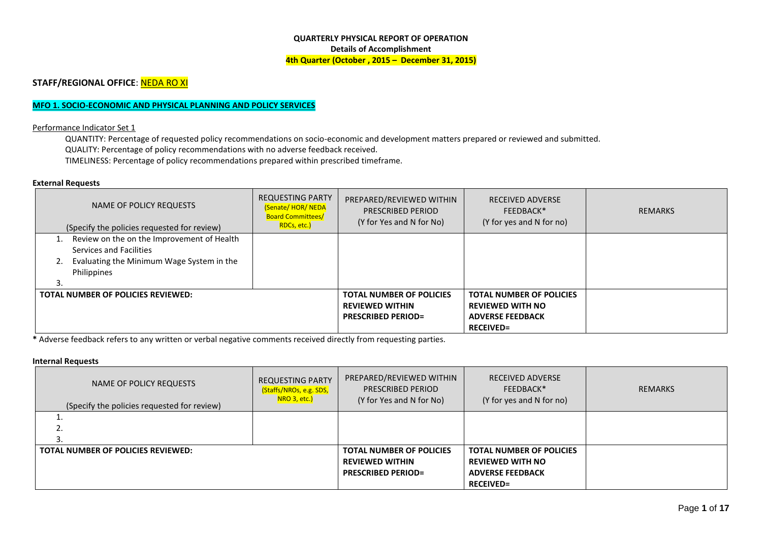#### **QUARTERLY PHYSICAL REPORT OF OPERATION Details of Accomplishment 4th Quarter (October , 2015 – December 31, 2015)**

## **STAFF/REGIONAL OFFICE: NEDA RO XI**

### **MFO 1. SOCIO-ECONOMIC AND PHYSICAL PLANNING AND POLICY SERVICES**

#### Performance Indicator Set 1

QUANTITY: Percentage of requested policy recommendations on socio-economic and development matters prepared or reviewed and submitted. QUALITY: Percentage of policy recommendations with no adverse feedback received. TIMELINESS: Percentage of policy recommendations prepared within prescribed timeframe.

#### **External Requests**

| NAME OF POLICY REQUESTS<br>(Specify the policies requested for review) | <b>REQUESTING PARTY</b><br><b>(Senate/HOR/NEDA</b><br><b>Board Committees/</b><br>RDCs, etc.) | PREPARED/REVIEWED WITHIN<br>PRESCRIBED PERIOD<br>(Y for Yes and N for No) | <b>RECEIVED ADVERSE</b><br>FEEDBACK*<br>(Y for yes and N for no) | <b>REMARKS</b> |
|------------------------------------------------------------------------|-----------------------------------------------------------------------------------------------|---------------------------------------------------------------------------|------------------------------------------------------------------|----------------|
| Review on the on the Improvement of Health                             |                                                                                               |                                                                           |                                                                  |                |
| Services and Facilities                                                |                                                                                               |                                                                           |                                                                  |                |
| Evaluating the Minimum Wage System in the<br>2.                        |                                                                                               |                                                                           |                                                                  |                |
| Philippines                                                            |                                                                                               |                                                                           |                                                                  |                |
|                                                                        |                                                                                               |                                                                           |                                                                  |                |
| TOTAL NUMBER OF POLICIES REVIEWED:                                     |                                                                                               | <b>TOTAL NUMBER OF POLICIES</b>                                           | <b>TOTAL NUMBER OF POLICIES</b>                                  |                |
|                                                                        |                                                                                               | <b>REVIEWED WITHIN</b>                                                    | <b>REVIEWED WITH NO</b>                                          |                |
|                                                                        |                                                                                               | <b>PRESCRIBED PERIOD=</b>                                                 | <b>ADVERSE FEEDBACK</b>                                          |                |
|                                                                        |                                                                                               |                                                                           | <b>RECEIVED=</b>                                                 |                |

**\*** Adverse feedback refers to any written or verbal negative comments received directly from requesting parties.

#### **Internal Requests**

| NAME OF POLICY REQUESTS<br>(Specify the policies requested for review) | <b>REQUESTING PARTY</b><br>(Staffs/NROs, e.g. SDS,<br>NRO 3, etc.) | PREPARED/REVIEWED WITHIN<br>PRESCRIBED PERIOD<br>(Y for Yes and N for No) | <b>RECEIVED ADVERSE</b><br>FEEDBACK*<br>(Y for yes and N for no) | REMARKS |
|------------------------------------------------------------------------|--------------------------------------------------------------------|---------------------------------------------------------------------------|------------------------------------------------------------------|---------|
| <u></u>                                                                |                                                                    |                                                                           |                                                                  |         |
|                                                                        |                                                                    |                                                                           |                                                                  |         |
| TOTAL NUMBER OF POLICIES REVIEWED:                                     |                                                                    | <b>TOTAL NUMBER OF POLICIES</b>                                           | <b>TOTAL NUMBER OF POLICIES</b>                                  |         |
|                                                                        |                                                                    | <b>REVIEWED WITHIN</b>                                                    | <b>REVIEWED WITH NO</b>                                          |         |
|                                                                        |                                                                    | <b>PRESCRIBED PERIOD=</b>                                                 | <b>ADVERSE FEEDBACK</b>                                          |         |
|                                                                        |                                                                    |                                                                           | <b>RECEIVED=</b>                                                 |         |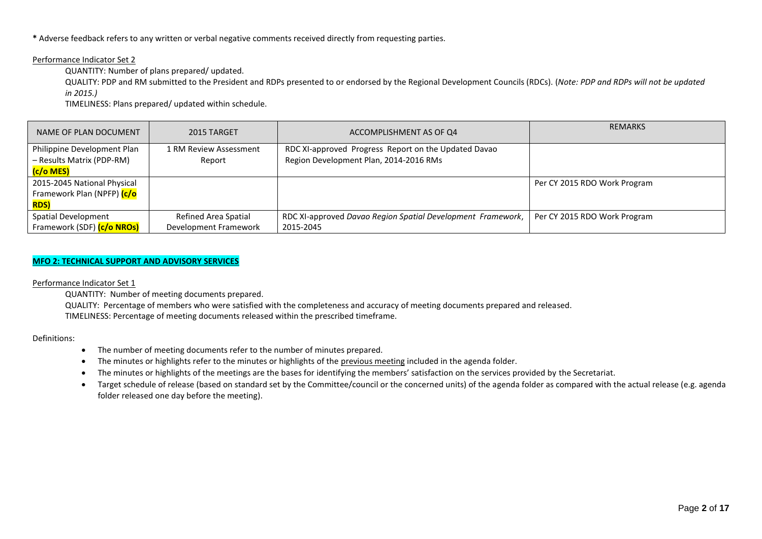**\*** Adverse feedback refers to any written or verbal negative comments received directly from requesting parties.

#### Performance Indicator Set 2

QUANTITY: Number of plans prepared/ updated.

QUALITY: PDP and RM submitted to the President and RDPs presented to or endorsed by the Regional Development Councils (RDCs). (*Note: PDP and RDPs will not be updated in 2015.)*

TIMELINESS: Plans prepared/ updated within schedule.

| NAME OF PLAN DOCUMENT       | 2015 TARGET            | ACCOMPLISHMENT AS OF Q4                                     | <b>REMARKS</b>               |
|-----------------------------|------------------------|-------------------------------------------------------------|------------------------------|
| Philippine Development Plan | 1 RM Review Assessment | RDC XI-approved Progress Report on the Updated Davao        |                              |
| - Results Matrix (PDP-RM)   | Report                 | Region Development Plan, 2014-2016 RMs                      |                              |
| C/o MES)                    |                        |                                                             |                              |
| 2015-2045 National Physical |                        |                                                             | Per CY 2015 RDO Work Program |
| Framework Plan (NPFP) (c/o  |                        |                                                             |                              |
| <b>RDS</b>                  |                        |                                                             |                              |
| Spatial Development         | Refined Area Spatial   | RDC XI-approved Davao Region Spatial Development Framework, | Per CY 2015 RDO Work Program |
| Framework (SDF) (c/o NROs)  | Development Framework  | 2015-2045                                                   |                              |

### **MFO 2: TECHNICAL SUPPORT AND ADVISORY SERVICES**

Performance Indicator Set 1

QUANTITY: Number of meeting documents prepared.

QUALITY: Percentage of members who were satisfied with the completeness and accuracy of meeting documents prepared and released. TIMELINESS: Percentage of meeting documents released within the prescribed timeframe.

Definitions:

- The number of meeting documents refer to the number of minutes prepared.
- The minutes or highlights refer to the minutes or highlights of the previous meeting included in the agenda folder.
- The minutes or highlights of the meetings are the bases for identifying the members' satisfaction on the services provided by the Secretariat.
- Target schedule of release (based on standard set by the Committee/council or the concerned units) of the agenda folder as compared with the actual release (e.g. agenda folder released one day before the meeting).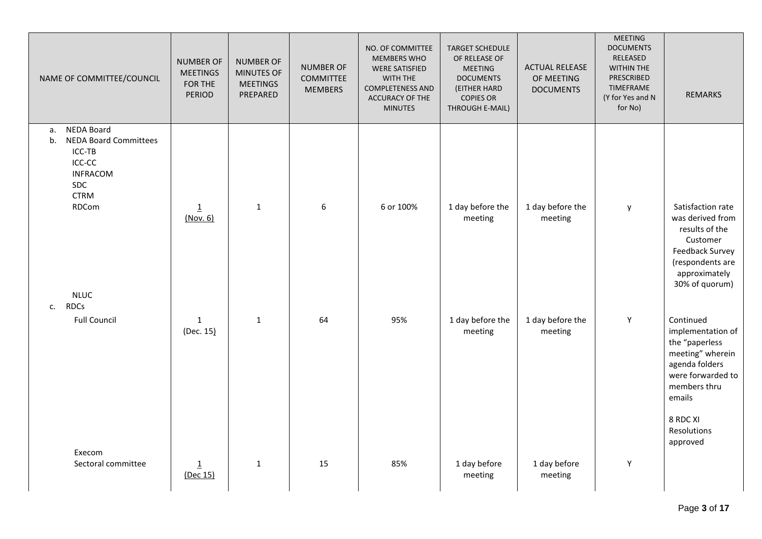| NAME OF COMMITTEE/COUNCIL                                                                                                    | <b>NUMBER OF</b><br><b>MEETINGS</b><br>FOR THE<br>PERIOD | <b>NUMBER OF</b><br>MINUTES OF<br><b>MEETINGS</b><br>PREPARED | NUMBER OF<br><b>COMMITTEE</b><br><b>MEMBERS</b> | NO. OF COMMITTEE<br><b>MEMBERS WHO</b><br><b>WERE SATISFIED</b><br>WITH THE<br><b>COMPLETENESS AND</b> | <b>TARGET SCHEDULE</b><br>OF RELEASE OF<br><b>MEETING</b><br><b>DOCUMENTS</b><br>(EITHER HARD | <b>ACTUAL RELEASE</b><br>OF MEETING<br><b>DOCUMENTS</b> | <b>MEETING</b><br><b>DOCUMENTS</b><br>RELEASED<br>WITHIN THE<br>PRESCRIBED<br>TIMEFRAME | <b>REMARKS</b>                                                                                                                                |
|------------------------------------------------------------------------------------------------------------------------------|----------------------------------------------------------|---------------------------------------------------------------|-------------------------------------------------|--------------------------------------------------------------------------------------------------------|-----------------------------------------------------------------------------------------------|---------------------------------------------------------|-----------------------------------------------------------------------------------------|-----------------------------------------------------------------------------------------------------------------------------------------------|
|                                                                                                                              |                                                          |                                                               |                                                 | ACCURACY OF THE<br><b>MINUTES</b>                                                                      | <b>COPIES OR</b><br>THROUGH E-MAIL)                                                           |                                                         | (Y for Yes and N<br>for No)                                                             |                                                                                                                                               |
| NEDA Board<br>а.<br>b.<br><b>NEDA Board Committees</b><br>ICC-TB<br>ICC-CC<br><b>INFRACOM</b><br>SDC<br><b>CTRM</b><br>RDCom | $\underline{1}$<br>(Nov. 6)                              | $\mathbf{1}$                                                  | 6                                               | 6 or 100%                                                                                              | 1 day before the<br>meeting                                                                   | 1 day before the<br>meeting                             | y                                                                                       | Satisfaction rate<br>was derived from<br>results of the<br>Customer<br>Feedback Survey<br>(respondents are<br>approximately<br>30% of quorum) |
| <b>NLUC</b><br><b>RDCs</b><br>c.                                                                                             |                                                          |                                                               |                                                 |                                                                                                        |                                                                                               |                                                         |                                                                                         |                                                                                                                                               |
| <b>Full Council</b>                                                                                                          | $1\,$<br>(Dec. 15)                                       | $\mathbf{1}$                                                  | 64                                              | 95%                                                                                                    | 1 day before the<br>meeting                                                                   | 1 day before the<br>meeting                             | Y                                                                                       | Continued<br>implementation of<br>the "paperless<br>meeting" wherein<br>agenda folders<br>were forwarded to<br>members thru<br>emails         |
|                                                                                                                              |                                                          |                                                               |                                                 |                                                                                                        |                                                                                               |                                                         |                                                                                         | 8 RDC XI<br>Resolutions<br>approved                                                                                                           |
| Execom<br>Sectoral committee                                                                                                 | $\overline{1}$<br>(Dec 15)                               | $\mathbf{1}$                                                  | 15                                              | 85%                                                                                                    | 1 day before<br>meeting                                                                       | 1 day before<br>meeting                                 | Y                                                                                       |                                                                                                                                               |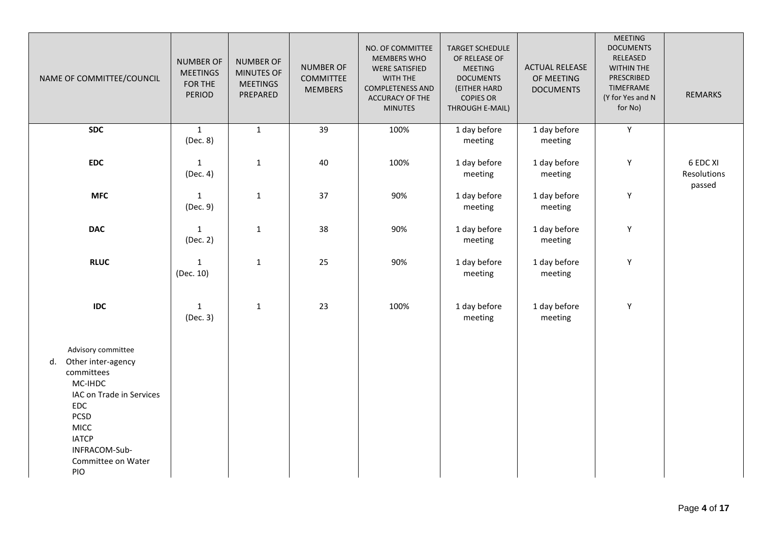| NAME OF COMMITTEE/COUNCIL                                                                                                                                                                              | <b>NUMBER OF</b><br><b>MEETINGS</b><br>FOR THE<br>PERIOD | <b>NUMBER OF</b><br><b>MINUTES OF</b><br><b>MEETINGS</b><br>PREPARED | <b>NUMBER OF</b><br><b>COMMITTEE</b><br><b>MEMBERS</b> | NO. OF COMMITTEE<br><b>MEMBERS WHO</b><br><b>WERE SATISFIED</b><br>WITH THE<br><b>COMPLETENESS AND</b><br>ACCURACY OF THE<br><b>MINUTES</b> | <b>TARGET SCHEDULE</b><br>OF RELEASE OF<br><b>MEETING</b><br><b>DOCUMENTS</b><br>(EITHER HARD<br><b>COPIES OR</b><br>THROUGH E-MAIL) | <b>ACTUAL RELEASE</b><br>OF MEETING<br><b>DOCUMENTS</b> | <b>MEETING</b><br><b>DOCUMENTS</b><br>RELEASED<br>WITHIN THE<br>PRESCRIBED<br>TIMEFRAME<br>(Y for Yes and N<br>for No) | <b>REMARKS</b>                    |
|--------------------------------------------------------------------------------------------------------------------------------------------------------------------------------------------------------|----------------------------------------------------------|----------------------------------------------------------------------|--------------------------------------------------------|---------------------------------------------------------------------------------------------------------------------------------------------|--------------------------------------------------------------------------------------------------------------------------------------|---------------------------------------------------------|------------------------------------------------------------------------------------------------------------------------|-----------------------------------|
| <b>SDC</b>                                                                                                                                                                                             | $\mathbf{1}$<br>(Dec. 8)                                 | $\mathbf{1}$                                                         | 39                                                     | 100%                                                                                                                                        | 1 day before<br>meeting                                                                                                              | 1 day before<br>meeting                                 | Y                                                                                                                      |                                   |
| <b>EDC</b>                                                                                                                                                                                             | $\mathbf{1}$<br>(Dec. 4)                                 | 1                                                                    | 40                                                     | 100%                                                                                                                                        | 1 day before<br>meeting                                                                                                              | 1 day before<br>meeting                                 | Y                                                                                                                      | 6 EDC XI<br>Resolutions<br>passed |
| <b>MFC</b>                                                                                                                                                                                             | $\mathbf{1}$<br>(Dec. 9)                                 | $\mathbf{1}$                                                         | 37                                                     | 90%                                                                                                                                         | 1 day before<br>meeting                                                                                                              | 1 day before<br>meeting                                 | Y                                                                                                                      |                                   |
| <b>DAC</b>                                                                                                                                                                                             | $\mathbf{1}$<br>(Dec. 2)                                 | $\mathbf 1$                                                          | 38                                                     | 90%                                                                                                                                         | 1 day before<br>meeting                                                                                                              | 1 day before<br>meeting                                 | Y                                                                                                                      |                                   |
| <b>RLUC</b>                                                                                                                                                                                            | $\mathbf{1}$<br>(Dec. 10)                                | $\mathbf 1$                                                          | 25                                                     | 90%                                                                                                                                         | 1 day before<br>meeting                                                                                                              | 1 day before<br>meeting                                 | Y                                                                                                                      |                                   |
| <b>IDC</b>                                                                                                                                                                                             | $\mathbf{1}$<br>(Dec. 3)                                 | $\mathbf 1$                                                          | 23                                                     | 100%                                                                                                                                        | 1 day before<br>meeting                                                                                                              | 1 day before<br>meeting                                 | Y                                                                                                                      |                                   |
| Advisory committee<br>Other inter-agency<br>d.<br>committees<br>MC-IHDC<br>IAC on Trade in Services<br><b>EDC</b><br>PCSD<br><b>MICC</b><br><b>IATCP</b><br>INFRACOM-Sub-<br>Committee on Water<br>PIO |                                                          |                                                                      |                                                        |                                                                                                                                             |                                                                                                                                      |                                                         |                                                                                                                        |                                   |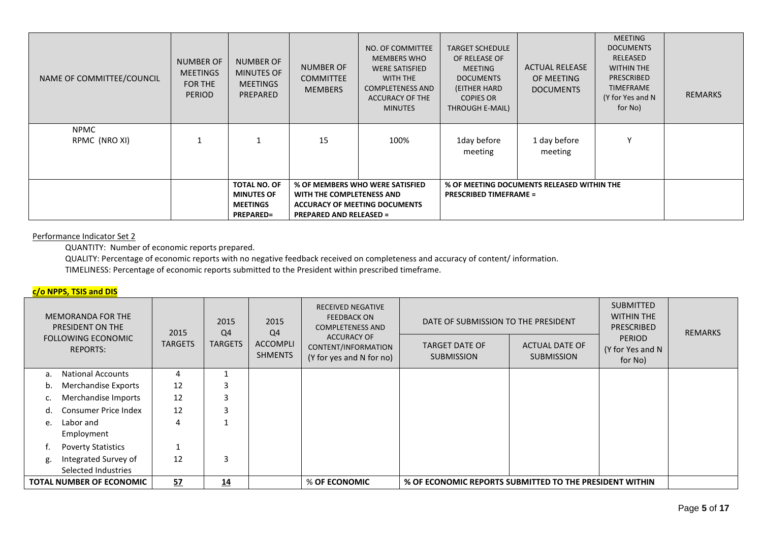| NAME OF COMMITTEE/COUNCIL    | <b>NUMBER OF</b><br><b>MEETINGS</b><br>FOR THE<br><b>PERIOD</b> | <b>NUMBER OF</b><br><b>MINUTES OF</b><br><b>MEETINGS</b><br>PREPARED            | <b>NUMBER OF</b><br><b>COMMITTEE</b><br><b>MEMBERS</b>                                                                                 | NO. OF COMMITTEE<br><b>MEMBERS WHO</b><br><b>WERE SATISFIED</b><br>WITH THE<br><b>COMPLETENESS AND</b><br><b>ACCURACY OF THE</b><br><b>MINUTES</b> | <b>TARGET SCHEDULE</b><br>OF RELEASE OF<br><b>MEETING</b><br><b>DOCUMENTS</b><br>(EITHER HARD<br><b>COPIES OR</b><br>THROUGH E-MAIL) | <b>ACTUAL RELEASE</b><br>OF MEETING<br><b>DOCUMENTS</b> | <b>MEETING</b><br><b>DOCUMENTS</b><br>RELEASED<br><b>WITHIN THE</b><br><b>PRESCRIBED</b><br><b>TIMEFRAME</b><br>(Y for Yes and N<br>for No) | <b>REMARKS</b> |
|------------------------------|-----------------------------------------------------------------|---------------------------------------------------------------------------------|----------------------------------------------------------------------------------------------------------------------------------------|----------------------------------------------------------------------------------------------------------------------------------------------------|--------------------------------------------------------------------------------------------------------------------------------------|---------------------------------------------------------|---------------------------------------------------------------------------------------------------------------------------------------------|----------------|
| <b>NPMC</b><br>RPMC (NRO XI) |                                                                 |                                                                                 | 15                                                                                                                                     | 100%                                                                                                                                               | 1day before<br>meeting                                                                                                               | 1 day before<br>meeting                                 | ٧                                                                                                                                           |                |
|                              |                                                                 | <b>TOTAL NO. OF</b><br><b>MINUTES OF</b><br><b>MEETINGS</b><br><b>PREPARED=</b> | % OF MEMBERS WHO WERE SATISFIED<br>WITH THE COMPLETENESS AND<br><b>ACCURACY OF MEETING DOCUMENTS</b><br><b>PREPARED AND RELEASED =</b> |                                                                                                                                                    | % OF MEETING DOCUMENTS RELEASED WITHIN THE<br><b>PRESCRIBED TIMEFRAME =</b>                                                          |                                                         |                                                                                                                                             |                |

### Performance Indicator Set 2

QUANTITY: Number of economic reports prepared.

QUALITY: Percentage of economic reports with no negative feedback received on completeness and accuracy of content/ information.

TIMELINESS: Percentage of economic reports submitted to the President within prescribed timeframe.

# **c/o NPPS, TSIS and DIS**

|    | <b>MEMORANDA FOR THE</b><br>PRESIDENT ON THE<br><b>FOLLOWING ECONOMIC</b> | 2015           | 2015<br>Q4     | 2015<br>Q4                        | <b>RECEIVED NEGATIVE</b><br><b>FEEDBACK ON</b><br><b>COMPLETENESS AND</b><br><b>ACCURACY OF</b> | DATE OF SUBMISSION TO THE PRESIDENT                     |                                            | <b>SUBMITTED</b><br><b>WITHIN THE</b><br><b>PRESCRIBED</b><br><b>PERIOD</b> | <b>REMARKS</b> |
|----|---------------------------------------------------------------------------|----------------|----------------|-----------------------------------|-------------------------------------------------------------------------------------------------|---------------------------------------------------------|--------------------------------------------|-----------------------------------------------------------------------------|----------------|
|    | <b>REPORTS:</b>                                                           | <b>TARGETS</b> | <b>TARGETS</b> | <b>ACCOMPLI</b><br><b>SHMENTS</b> | CONTENT/INFORMATION<br>(Y for yes and N for no)                                                 | <b>TARGET DATE OF</b><br><b>SUBMISSION</b>              | <b>ACTUAL DATE OF</b><br><b>SUBMISSION</b> | (Y for Yes and N<br>for No)                                                 |                |
| a. | <b>National Accounts</b>                                                  | 4              |                |                                   |                                                                                                 |                                                         |                                            |                                                                             |                |
| b. | Merchandise Exports                                                       | 12             |                |                                   |                                                                                                 |                                                         |                                            |                                                                             |                |
|    | Merchandise Imports                                                       | 12             |                |                                   |                                                                                                 |                                                         |                                            |                                                                             |                |
|    | <b>Consumer Price Index</b>                                               | 12             |                |                                   |                                                                                                 |                                                         |                                            |                                                                             |                |
| e. | Labor and                                                                 | 4              |                |                                   |                                                                                                 |                                                         |                                            |                                                                             |                |
|    | Employment                                                                |                |                |                                   |                                                                                                 |                                                         |                                            |                                                                             |                |
|    | <b>Poverty Statistics</b>                                                 |                |                |                                   |                                                                                                 |                                                         |                                            |                                                                             |                |
| g. | Integrated Survey of                                                      | 12             |                |                                   |                                                                                                 |                                                         |                                            |                                                                             |                |
|    | Selected Industries                                                       |                |                |                                   |                                                                                                 |                                                         |                                            |                                                                             |                |
|    | <b>TOTAL NUMBER OF ECONOMIC</b>                                           | 57             | 14             |                                   | % OF ECONOMIC                                                                                   | % OF ECONOMIC REPORTS SUBMITTED TO THE PRESIDENT WITHIN |                                            |                                                                             |                |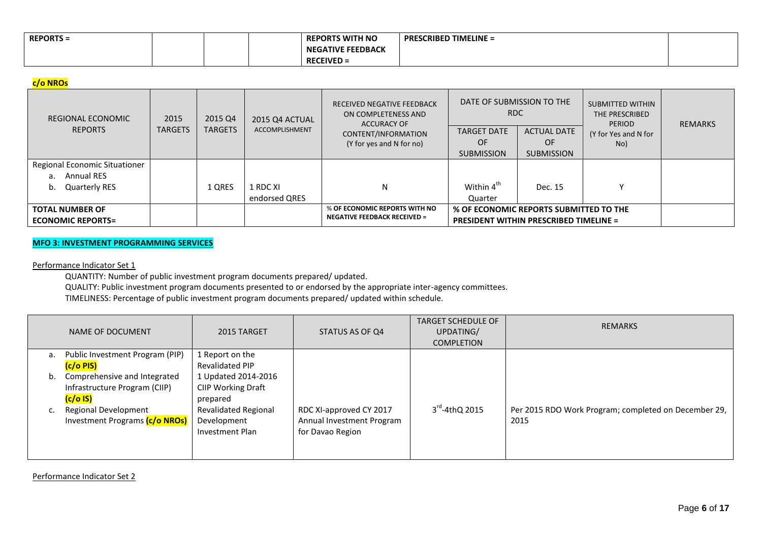| <b>REPORTS =</b> |  | <b>REPORTS WITH NO</b>   | PRESCRIBED TIMELINE = |  |
|------------------|--|--------------------------|-----------------------|--|
|                  |  | <b>NEGATIVE FEEDBACK</b> |                       |  |
|                  |  | $RFCFIVFD =$             |                       |  |

# **c/o NROs**

| REGIONAL ECONOMIC             | 2015           | 2015 Q4        | 2015 Q4 ACTUAL        | RECEIVED NEGATIVE FEEDBACK<br>ON COMPLETENESS AND<br><b>ACCURACY OF</b> | DATE OF SUBMISSION TO THE<br>RDC              |                         | SUBMITTED WITHIN<br>THE PRESCRIBED<br>PERIOD | <b>REMARKS</b> |
|-------------------------------|----------------|----------------|-----------------------|-------------------------------------------------------------------------|-----------------------------------------------|-------------------------|----------------------------------------------|----------------|
| <b>REPORTS</b>                | <b>TARGETS</b> | <b>TARGETS</b> | <b>ACCOMPLISHMENT</b> | CONTENT/INFORMATION                                                     | <b>TARGET DATE</b>                            | <b>ACTUAL DATE</b>      | (Y for Yes and N for                         |                |
|                               |                |                |                       | (Y for yes and N for no)                                                | OF.<br><b>SUBMISSION</b>                      | 0F<br><b>SUBMISSION</b> | No)                                          |                |
|                               |                |                |                       |                                                                         |                                               |                         |                                              |                |
| Regional Economic Situationer |                |                |                       |                                                                         |                                               |                         |                                              |                |
| <b>Annual RES</b><br>a.       |                |                |                       |                                                                         |                                               |                         |                                              |                |
| Quarterly RES<br>b.           |                | 1 QRES         | 1 RDC XI              | N                                                                       | Within 4 <sup>th</sup>                        | Dec. 15                 |                                              |                |
|                               |                |                | endorsed QRES         |                                                                         | Quarter                                       |                         |                                              |                |
| <b>TOTAL NUMBER OF</b>        |                |                |                       | % OF ECONOMIC REPORTS WITH NO                                           | % OF ECONOMIC REPORTS SUBMITTED TO THE        |                         |                                              |                |
| <b>ECONOMIC REPORTS=</b>      |                |                |                       | <b>NEGATIVE FEEDBACK RECEIVED =</b>                                     | <b>PRESIDENT WITHIN PRESCRIBED TIMELINE =</b> |                         |                                              |                |

## **MFO 3: INVESTMENT PROGRAMMING SERVICES**

### Performance Indicator Set 1

QUANTITY: Number of public investment program documents prepared/ updated.

QUALITY: Public investment program documents presented to or endorsed by the appropriate inter-agency committees.

TIMELINESS: Percentage of public investment program documents prepared/ updated within schedule.

|    | NAME OF DOCUMENT                                                            | 2015 TARGET                                                   | STATUS AS OF Q4                                                          | <b>TARGET SCHEDULE OF</b><br>UPDATING/<br><b>COMPLETION</b> | <b>REMARKS</b>                                               |
|----|-----------------------------------------------------------------------------|---------------------------------------------------------------|--------------------------------------------------------------------------|-------------------------------------------------------------|--------------------------------------------------------------|
| a. | Public Investment Program (PIP)<br>(c/o PIS)                                | 1 Report on the<br><b>Revalidated PIP</b>                     |                                                                          |                                                             |                                                              |
| b. | Comprehensive and Integrated<br>Infrastructure Program (CIIP)<br>$(c/o$ IS) | 1 Updated 2014-2016<br>CIIP Working Draft<br>prepared         |                                                                          |                                                             |                                                              |
|    | Regional Development<br>Investment Programs (c/o NROs)                      | <b>Revalidated Regional</b><br>Development<br>Investment Plan | RDC XI-approved CY 2017<br>Annual Investment Program<br>for Davao Region | $3^{\text{rd}}$ -4thQ 2015                                  | Per 2015 RDO Work Program; completed on December 29,<br>2015 |

Performance Indicator Set 2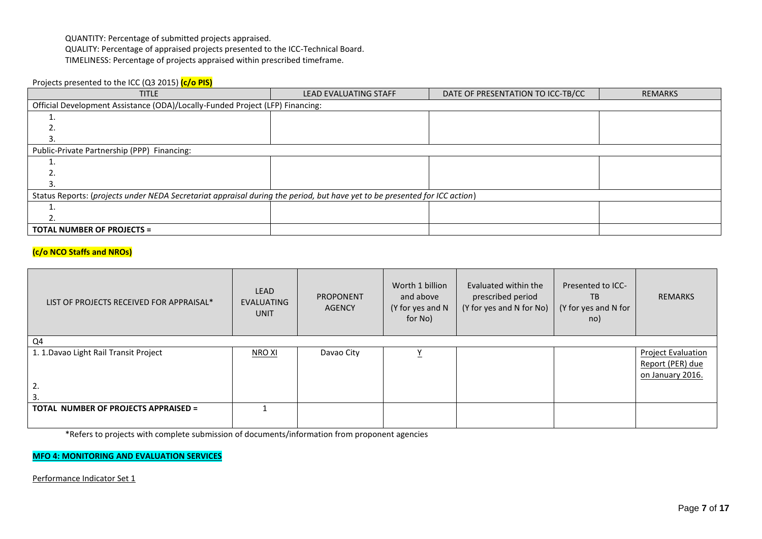QUANTITY: Percentage of submitted projects appraised.

QUALITY: Percentage of appraised projects presented to the ICC-Technical Board.

TIMELINESS: Percentage of projects appraised within prescribed timeframe.

# Projects presented to the ICC (Q3 2015) **(c/o PIS)**

| <b>TITLE</b>                                                                                                               | <b>LEAD EVALUATING STAFF</b> | DATE OF PRESENTATION TO ICC-TB/CC | <b>REMARKS</b> |  |  |  |  |  |  |
|----------------------------------------------------------------------------------------------------------------------------|------------------------------|-----------------------------------|----------------|--|--|--|--|--|--|
| Official Development Assistance (ODA)/Locally-Funded Project (LFP) Financing:                                              |                              |                                   |                |  |  |  |  |  |  |
|                                                                                                                            |                              |                                   |                |  |  |  |  |  |  |
|                                                                                                                            |                              |                                   |                |  |  |  |  |  |  |
|                                                                                                                            |                              |                                   |                |  |  |  |  |  |  |
| Public-Private Partnership (PPP) Financing:                                                                                |                              |                                   |                |  |  |  |  |  |  |
|                                                                                                                            |                              |                                   |                |  |  |  |  |  |  |
|                                                                                                                            |                              |                                   |                |  |  |  |  |  |  |
|                                                                                                                            |                              |                                   |                |  |  |  |  |  |  |
| Status Reports: (projects under NEDA Secretariat appraisal during the period, but have yet to be presented for ICC action) |                              |                                   |                |  |  |  |  |  |  |
|                                                                                                                            |                              |                                   |                |  |  |  |  |  |  |
|                                                                                                                            |                              |                                   |                |  |  |  |  |  |  |
| <b>TOTAL NUMBER OF PROJECTS =</b>                                                                                          |                              |                                   |                |  |  |  |  |  |  |

# **(c/o NCO Staffs and NROs)**

| LIST OF PROJECTS RECEIVED FOR APPRAISAL*     | <b>LEAD</b><br><b>EVALUATING</b><br><b>UNIT</b> | <b>PROPONENT</b><br><b>AGENCY</b> | Worth 1 billion<br>and above<br>(Y for yes and N<br>for No) | Evaluated within the<br>prescribed period<br>(Y for yes and N for No) | Presented to ICC-<br>TB<br>(Y for yes and N for<br>no) | <b>REMARKS</b>                                                    |
|----------------------------------------------|-------------------------------------------------|-----------------------------------|-------------------------------------------------------------|-----------------------------------------------------------------------|--------------------------------------------------------|-------------------------------------------------------------------|
| Q4                                           |                                                 |                                   |                                                             |                                                                       |                                                        |                                                                   |
| 1. 1. Davao Light Rail Transit Project<br>2. | NRO XI                                          | Davao City                        | <u>Y</u>                                                    |                                                                       |                                                        | <b>Project Evaluation</b><br>Report (PER) due<br>on January 2016. |
| <b>TOTAL NUMBER OF PROJECTS APPRAISED =</b>  |                                                 |                                   |                                                             |                                                                       |                                                        |                                                                   |

\*Refers to projects with complete submission of documents/information from proponent agencies

## **MFO 4: MONITORING AND EVALUATION SERVICES**

Performance Indicator Set 1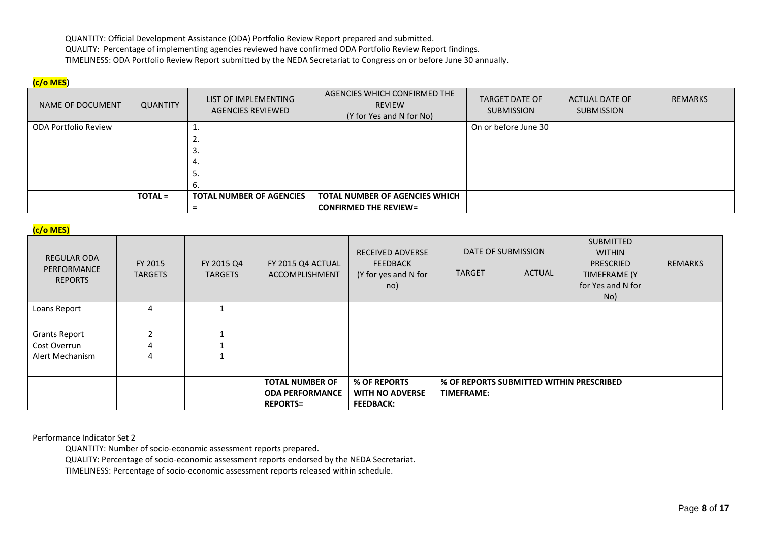QUANTITY: Official Development Assistance (ODA) Portfolio Review Report prepared and submitted. QUALITY: Percentage of implementing agencies reviewed have confirmed ODA Portfolio Review Report findings. TIMELINESS: ODA Portfolio Review Report submitted by the NEDA Secretariat to Congress on or before June 30 annually.

## **(c/o MES)**

| NAME OF DOCUMENT            | QUANTITY       | LIST OF IMPLEMENTING<br><b>AGENCIES REVIEWED</b> | AGENCIES WHICH CONFIRMED THE<br><b>REVIEW</b><br>(Y for Yes and N for No) | <b>TARGET DATE OF</b><br><b>SUBMISSION</b> | ACTUAL DATE OF<br><b>SUBMISSION</b> | <b>REMARKS</b> |
|-----------------------------|----------------|--------------------------------------------------|---------------------------------------------------------------------------|--------------------------------------------|-------------------------------------|----------------|
| <b>ODA Portfolio Review</b> |                |                                                  |                                                                           | On or before June 30                       |                                     |                |
|                             |                |                                                  |                                                                           |                                            |                                     |                |
|                             |                | э.                                               |                                                                           |                                            |                                     |                |
|                             |                | 4.                                               |                                                                           |                                            |                                     |                |
|                             |                | э.                                               |                                                                           |                                            |                                     |                |
|                             |                | b.                                               |                                                                           |                                            |                                     |                |
|                             | <b>TOTAL =</b> | <b>TOTAL NUMBER OF AGENCIES</b>                  | <b>TOTAL NUMBER OF AGENCIES WHICH</b>                                     |                                            |                                     |                |
|                             |                |                                                  | <b>CONFIRMED THE REVIEW=</b>                                              |                                            |                                     |                |

## **(c/o MES)**

| REGULAR ODA<br>PERFORMANCE<br><b>REPORTS</b> | FY 2015<br><b>TARGETS</b> | FY 2015 Q4<br><b>TARGETS</b> | FY 2015 Q4 ACTUAL<br>ACCOMPLISHMENT | <b>RECEIVED ADVERSE</b><br><b>FEEDBACK</b><br>(Y for yes and N for<br>no) | DATE OF SUBMISSION<br><b>TARGET</b> | <b>ACTUAL</b>                            | SUBMITTED<br><b>WITHIN</b><br>PRESCRIED<br><b>TIMEFRAME (Y</b><br>for Yes and N for<br>No) | <b>REMARKS</b> |
|----------------------------------------------|---------------------------|------------------------------|-------------------------------------|---------------------------------------------------------------------------|-------------------------------------|------------------------------------------|--------------------------------------------------------------------------------------------|----------------|
| Loans Report                                 |                           |                              |                                     |                                                                           |                                     |                                          |                                                                                            |                |
|                                              |                           |                              |                                     |                                                                           |                                     |                                          |                                                                                            |                |
| <b>Grants Report</b>                         |                           |                              |                                     |                                                                           |                                     |                                          |                                                                                            |                |
| Cost Overrun                                 |                           |                              |                                     |                                                                           |                                     |                                          |                                                                                            |                |
| Alert Mechanism                              |                           |                              |                                     |                                                                           |                                     |                                          |                                                                                            |                |
|                                              |                           |                              |                                     |                                                                           |                                     |                                          |                                                                                            |                |
|                                              |                           |                              | <b>TOTAL NUMBER OF</b>              | % OF REPORTS                                                              |                                     | % OF REPORTS SUBMITTED WITHIN PRESCRIBED |                                                                                            |                |
|                                              |                           |                              | <b>ODA PERFORMANCE</b>              | <b>WITH NO ADVERSE</b>                                                    | <b>TIMEFRAME:</b>                   |                                          |                                                                                            |                |
|                                              |                           |                              | <b>REPORTS=</b>                     | <b>FEEDBACK:</b>                                                          |                                     |                                          |                                                                                            |                |

#### Performance Indicator Set 2

QUANTITY: Number of socio-economic assessment reports prepared.

QUALITY: Percentage of socio-economic assessment reports endorsed by the NEDA Secretariat.

TIMELINESS: Percentage of socio-economic assessment reports released within schedule.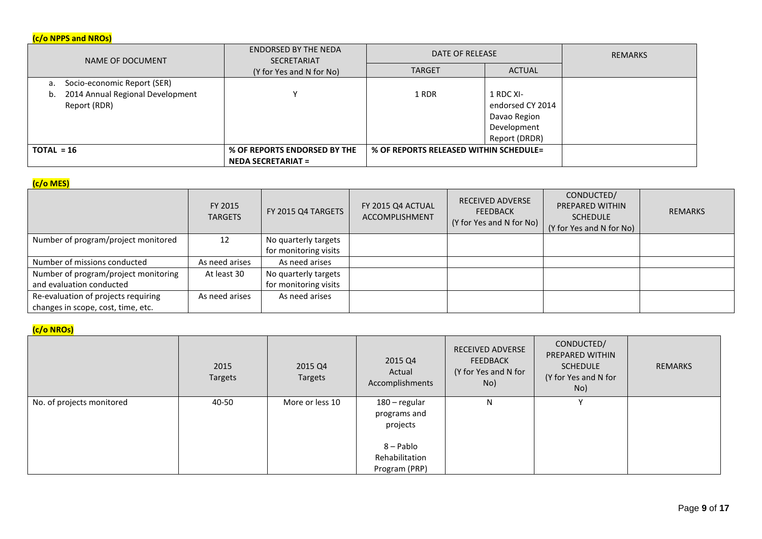# **(c/o NPPS and NROs)**

| NAME OF DOCUMENT                                    | <b>ENDORSED BY THE NEDA</b><br><b>SECRETARIAT</b> | DATE OF RELEASE                        |                                                                               | <b>REMARKS</b> |
|-----------------------------------------------------|---------------------------------------------------|----------------------------------------|-------------------------------------------------------------------------------|----------------|
|                                                     | (Y for Yes and N for No)                          | <b>TARGET</b>                          | <b>ACTUAL</b>                                                                 |                |
| Socio-economic Report (SER)<br>а.                   |                                                   |                                        |                                                                               |                |
| b. 2014 Annual Regional Development<br>Report (RDR) |                                                   | 1 RDR                                  | 1 RDC XI-<br>endorsed CY 2014<br>Davao Region<br>Development<br>Report (DRDR) |                |
| $TOTAL = 16$                                        | % OF REPORTS ENDORSED BY THE                      | % OF REPORTS RELEASED WITHIN SCHEDULE= |                                                                               |                |
|                                                     | <b>NEDA SECRETARIAT =</b>                         |                                        |                                                                               |                |

# **(c/o MES)**

| $\mathbf{v}$                         | FY 2015<br><b>TARGETS</b> | FY 2015 Q4 TARGETS    | FY 2015 Q4 ACTUAL<br><b>ACCOMPLISHMENT</b> | <b>RECEIVED ADVERSE</b><br><b>FEEDBACK</b><br>(Y for Yes and N for No) | CONDUCTED/<br><b>PREPARED WITHIN</b><br><b>SCHEDULE</b><br>(Y for Yes and N for No) | <b>REMARKS</b> |
|--------------------------------------|---------------------------|-----------------------|--------------------------------------------|------------------------------------------------------------------------|-------------------------------------------------------------------------------------|----------------|
| Number of program/project monitored  | 12                        | No quarterly targets  |                                            |                                                                        |                                                                                     |                |
|                                      |                           | for monitoring visits |                                            |                                                                        |                                                                                     |                |
| Number of missions conducted         | As need arises            | As need arises        |                                            |                                                                        |                                                                                     |                |
| Number of program/project monitoring | At least 30               | No quarterly targets  |                                            |                                                                        |                                                                                     |                |
| and evaluation conducted             |                           | for monitoring visits |                                            |                                                                        |                                                                                     |                |
| Re-evaluation of projects requiring  | As need arises            | As need arises        |                                            |                                                                        |                                                                                     |                |
| changes in scope, cost, time, etc.   |                           |                       |                                            |                                                                        |                                                                                     |                |

# **(c/o NROs)**

|                           | 2015<br>Targets | 2015 Q4<br>Targets | 2015 Q4<br>Actual<br>Accomplishments                                                      | RECEIVED ADVERSE<br><b>FEEDBACK</b><br>(Y for Yes and N for<br>No) | CONDUCTED/<br>PREPARED WITHIN<br><b>SCHEDULE</b><br>(Y for Yes and N for<br>No) | REMARKS |
|---------------------------|-----------------|--------------------|-------------------------------------------------------------------------------------------|--------------------------------------------------------------------|---------------------------------------------------------------------------------|---------|
| No. of projects monitored | 40-50           | More or less 10    | 180 - regular<br>programs and<br>projects<br>8 – Pablo<br>Rehabilitation<br>Program (PRP) | N                                                                  | $\checkmark$                                                                    |         |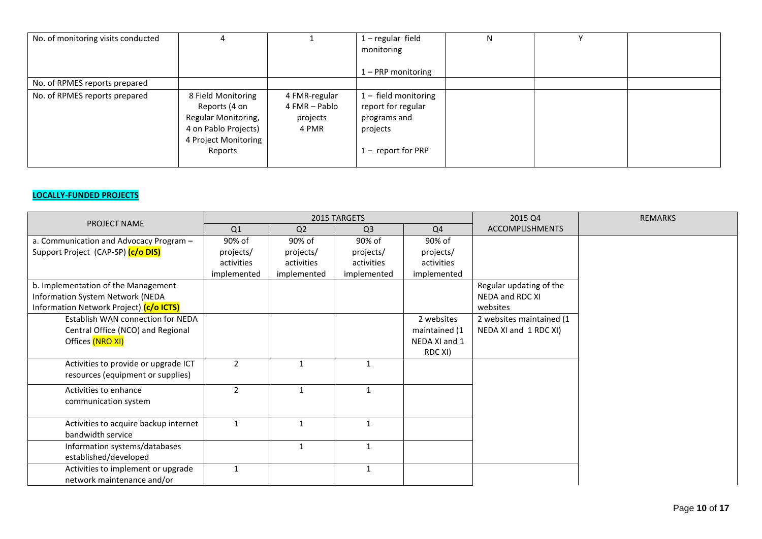| No. of monitoring visits conducted |                                                                                                                       |                                                     | $1 -$ regular field<br>monitoring                                                          | N |  |
|------------------------------------|-----------------------------------------------------------------------------------------------------------------------|-----------------------------------------------------|--------------------------------------------------------------------------------------------|---|--|
|                                    |                                                                                                                       |                                                     | 1 – PRP monitoring                                                                         |   |  |
| No. of RPMES reports prepared      |                                                                                                                       |                                                     |                                                                                            |   |  |
| No. of RPMES reports prepared      | 8 Field Monitoring<br>Reports (4 on<br>Regular Monitoring,<br>4 on Pablo Projects)<br>4 Project Monitoring<br>Reports | 4 FMR-regular<br>4 FMR - Pablo<br>projects<br>4 PMR | 1- field monitoring<br>report for regular<br>programs and<br>projects<br>1- report for PRP |   |  |

# **LOCALLY-FUNDED PROJECTS**

| PROJECT NAME                                                                                                       |                |                | 2015 TARGETS   |                                                         | 2015 Q4                                                | <b>REMARKS</b> |
|--------------------------------------------------------------------------------------------------------------------|----------------|----------------|----------------|---------------------------------------------------------|--------------------------------------------------------|----------------|
|                                                                                                                    | Q1             | Q <sub>2</sub> | Q <sub>3</sub> | Q4                                                      | <b>ACCOMPLISHMENTS</b>                                 |                |
| a. Communication and Advocacy Program -                                                                            | 90% of         | 90% of         | 90% of         | 90% of                                                  |                                                        |                |
| Support Project (CAP-SP) (c/o DIS)                                                                                 | projects/      | projects/      | projects/      | projects/                                               |                                                        |                |
|                                                                                                                    | activities     | activities     | activities     | activities                                              |                                                        |                |
|                                                                                                                    | implemented    | implemented    | implemented    | implemented                                             |                                                        |                |
| b. Implementation of the Management<br>Information System Network (NEDA<br>Information Network Project) (c/o ICTS) |                |                |                |                                                         | Regular updating of the<br>NEDA and RDC XI<br>websites |                |
| Establish WAN connection for NEDA<br>Central Office (NCO) and Regional<br>Offices (NRO XI)                         |                |                |                | 2 websites<br>maintained (1<br>NEDA XI and 1<br>RDC XI) | 2 websites maintained (1<br>NEDA XI and 1 RDC XI)      |                |
| Activities to provide or upgrade ICT<br>resources (equipment or supplies)                                          | $\overline{2}$ | $\mathbf{1}$   | $\mathbf{1}$   |                                                         |                                                        |                |
| Activities to enhance<br>communication system                                                                      | 2              |                | $\mathbf{1}$   |                                                         |                                                        |                |
| Activities to acquire backup internet<br>bandwidth service                                                         | $\mathbf{1}$   |                | $\mathbf{1}$   |                                                         |                                                        |                |
| Information systems/databases<br>established/developed                                                             |                | 1              | 1              |                                                         |                                                        |                |
| Activities to implement or upgrade<br>network maintenance and/or                                                   | $\mathbf{1}$   |                | 1              |                                                         |                                                        |                |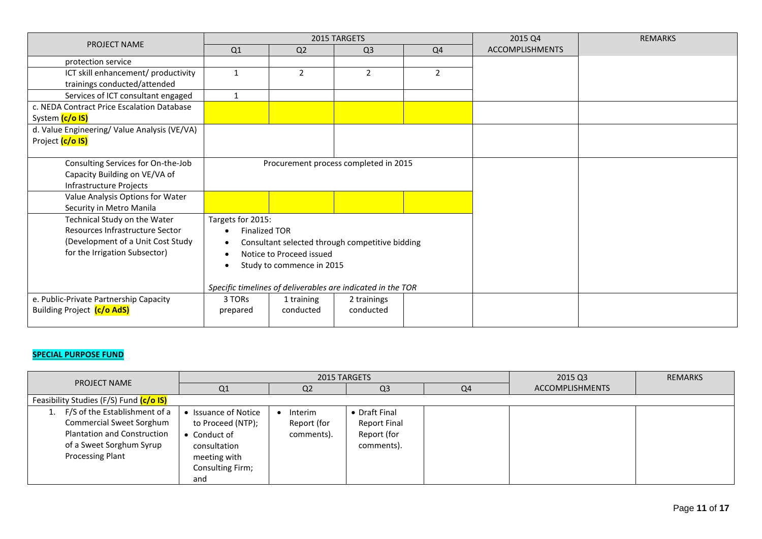|                                              |                      |                           | 2015 TARGETS                                                |                | 2015 Q4                | <b>REMARKS</b> |
|----------------------------------------------|----------------------|---------------------------|-------------------------------------------------------------|----------------|------------------------|----------------|
| <b>PROJECT NAME</b>                          | Q1                   | Q2                        | Q <sub>3</sub>                                              | Q4             | <b>ACCOMPLISHMENTS</b> |                |
| protection service                           |                      |                           |                                                             |                |                        |                |
| ICT skill enhancement/ productivity          | $\mathbf{1}$         | $\overline{2}$            | $\overline{2}$                                              | $\overline{2}$ |                        |                |
| trainings conducted/attended                 |                      |                           |                                                             |                |                        |                |
| Services of ICT consultant engaged           | 1                    |                           |                                                             |                |                        |                |
| c. NEDA Contract Price Escalation Database   |                      |                           |                                                             |                |                        |                |
| System (c/o IS)                              |                      |                           |                                                             |                |                        |                |
| d. Value Engineering/ Value Analysis (VE/VA) |                      |                           |                                                             |                |                        |                |
| Project (c/o IS)                             |                      |                           |                                                             |                |                        |                |
| Consulting Services for On-the-Job           |                      |                           | Procurement process completed in 2015                       |                |                        |                |
| Capacity Building on VE/VA of                |                      |                           |                                                             |                |                        |                |
| Infrastructure Projects                      |                      |                           |                                                             |                |                        |                |
| Value Analysis Options for Water             |                      |                           |                                                             |                |                        |                |
| Security in Metro Manila                     |                      |                           |                                                             |                |                        |                |
| Technical Study on the Water                 | Targets for 2015:    |                           |                                                             |                |                        |                |
| Resources Infrastructure Sector              | <b>Finalized TOR</b> |                           |                                                             |                |                        |                |
| (Development of a Unit Cost Study            | $\bullet$            |                           | Consultant selected through competitive bidding             |                |                        |                |
| for the Irrigation Subsector)                |                      | Notice to Proceed issued  |                                                             |                |                        |                |
|                                              |                      | Study to commence in 2015 |                                                             |                |                        |                |
|                                              |                      |                           |                                                             |                |                        |                |
|                                              |                      |                           | Specific timelines of deliverables are indicated in the TOR |                |                        |                |
| e. Public-Private Partnership Capacity       | 3 TORs               | 1 training                | 2 trainings                                                 |                |                        |                |
| Building Project (c/o AdS)                   | prepared             | conducted                 | conducted                                                   |                |                        |                |
|                                              |                      |                           |                                                             |                |                        |                |

# **SPECIAL PURPOSE FUND**

| <b>PROJECT NAME</b>                                                                                                                             |                                                                                                                      | 2015 TARGETS                         |                                                                   |                | 2015 Q3                | <b>REMARKS</b> |
|-------------------------------------------------------------------------------------------------------------------------------------------------|----------------------------------------------------------------------------------------------------------------------|--------------------------------------|-------------------------------------------------------------------|----------------|------------------------|----------------|
|                                                                                                                                                 | Q <sub>1</sub>                                                                                                       | Q2                                   | Q <sub>3</sub>                                                    | Q <sub>4</sub> | <b>ACCOMPLISHMENTS</b> |                |
| Feasibility Studies (F/S) Fund (c/o IS)                                                                                                         |                                                                                                                      |                                      |                                                                   |                |                        |                |
| F/S of the Establishment of a<br>Commercial Sweet Sorghum<br><b>Plantation and Construction</b><br>of a Sweet Sorghum Syrup<br>Processing Plant | • Issuance of Notice<br>to Proceed (NTP);<br>• Conduct of<br>consultation<br>meeting with<br>Consulting Firm;<br>and | Interim<br>Report (for<br>comments). | • Draft Final<br><b>Report Final</b><br>Report (for<br>comments). |                |                        |                |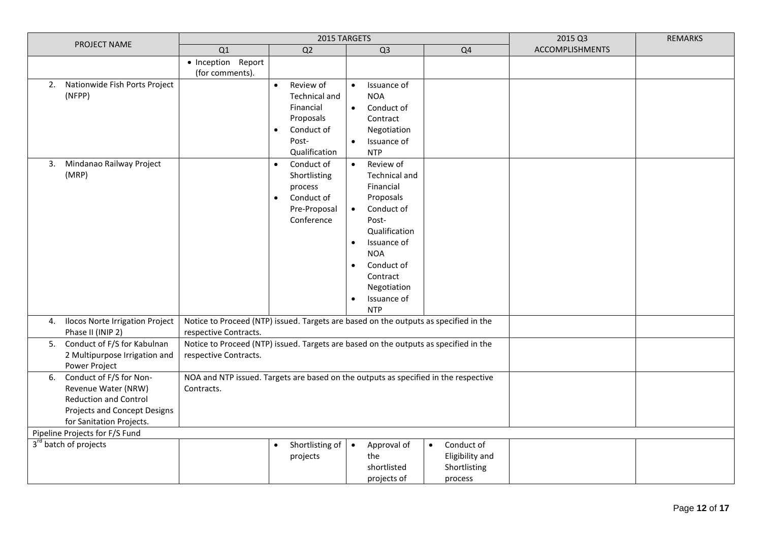|                                                                                                                                                                                    |                                                                                                               | 2015 TARGETS                                                                                                                  |                                                                                                                                                                                                                                                                  | 2015 Q3                                                               | <b>REMARKS</b>  |  |  |
|------------------------------------------------------------------------------------------------------------------------------------------------------------------------------------|---------------------------------------------------------------------------------------------------------------|-------------------------------------------------------------------------------------------------------------------------------|------------------------------------------------------------------------------------------------------------------------------------------------------------------------------------------------------------------------------------------------------------------|-----------------------------------------------------------------------|-----------------|--|--|
| PROJECT NAME                                                                                                                                                                       | Q1                                                                                                            | Q <sub>2</sub>                                                                                                                | Q <sub>3</sub>                                                                                                                                                                                                                                                   | Q <sub>4</sub>                                                        | ACCOMPLISHMENTS |  |  |
|                                                                                                                                                                                    | · Inception Report<br>(for comments).                                                                         |                                                                                                                               |                                                                                                                                                                                                                                                                  |                                                                       |                 |  |  |
| 2. Nationwide Fish Ports Project<br>(NFPP)                                                                                                                                         |                                                                                                               | Review of<br>$\bullet$<br><b>Technical and</b><br>Financial<br>Proposals<br>Conduct of<br>$\bullet$<br>Post-<br>Qualification | Issuance of<br>$\bullet$<br><b>NOA</b><br>Conduct of<br>$\bullet$<br>Contract<br>Negotiation<br>Issuance of<br>$\bullet$<br><b>NTP</b>                                                                                                                           |                                                                       |                 |  |  |
| Mindanao Railway Project<br>3.<br>(MRP)                                                                                                                                            |                                                                                                               | Conduct of<br>$\bullet$<br>Shortlisting<br>process<br>Conduct of<br>Pre-Proposal<br>Conference                                | Review of<br>$\bullet$<br>Technical and<br>Financial<br>Proposals<br>Conduct of<br>$\bullet$<br>Post-<br>Qualification<br>Issuance of<br>$\bullet$<br><b>NOA</b><br>Conduct of<br>$\bullet$<br>Contract<br>Negotiation<br>Issuance of<br>$\bullet$<br><b>NTP</b> |                                                                       |                 |  |  |
| 4. Ilocos Norte Irrigation Project<br>Phase II (INIP 2)                                                                                                                            | Notice to Proceed (NTP) issued. Targets are based on the outputs as specified in the<br>respective Contracts. |                                                                                                                               |                                                                                                                                                                                                                                                                  |                                                                       |                 |  |  |
| Conduct of F/S for Kabulnan<br>5.<br>2 Multipurpose Irrigation and<br>Power Project                                                                                                | Notice to Proceed (NTP) issued. Targets are based on the outputs as specified in the<br>respective Contracts. |                                                                                                                               |                                                                                                                                                                                                                                                                  |                                                                       |                 |  |  |
| Conduct of F/S for Non-<br>6.<br>Revenue Water (NRW)<br><b>Reduction and Control</b><br>Projects and Concept Designs<br>for Sanitation Projects.<br>Pipeline Projects for F/S Fund | NOA and NTP issued. Targets are based on the outputs as specified in the respective<br>Contracts.             |                                                                                                                               |                                                                                                                                                                                                                                                                  |                                                                       |                 |  |  |
| 3 <sup>rd</sup> batch of projects                                                                                                                                                  |                                                                                                               |                                                                                                                               |                                                                                                                                                                                                                                                                  |                                                                       |                 |  |  |
|                                                                                                                                                                                    |                                                                                                               | Shortlisting of<br>$\bullet$<br>projects                                                                                      | Approval of<br>$\bullet$<br>the<br>shortlisted<br>projects of                                                                                                                                                                                                    | Conduct of<br>$\bullet$<br>Eligibility and<br>Shortlisting<br>process |                 |  |  |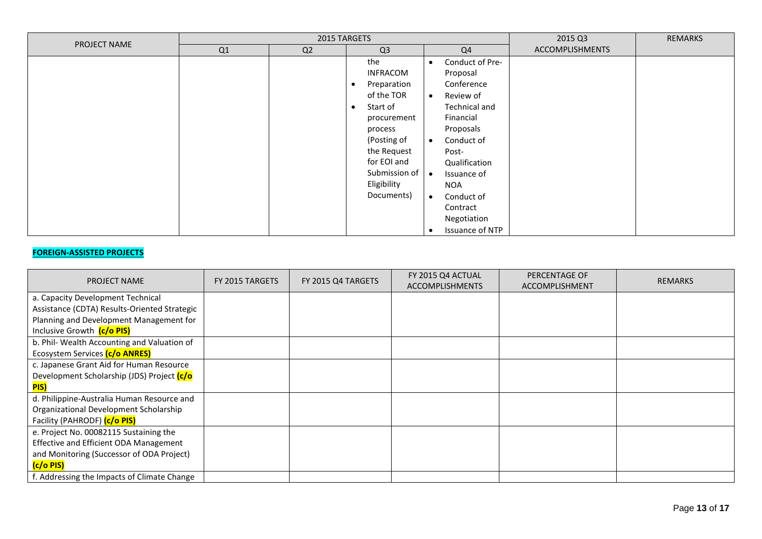| PROJECT NAME |    | 2015 TARGETS | 2015 Q3                                                                                                                                                                                                            | <b>REMARKS</b>                                                                                                                                                                                                                                                                                       |                        |  |
|--------------|----|--------------|--------------------------------------------------------------------------------------------------------------------------------------------------------------------------------------------------------------------|------------------------------------------------------------------------------------------------------------------------------------------------------------------------------------------------------------------------------------------------------------------------------------------------------|------------------------|--|
|              | Q1 | Q2           | Q <sub>3</sub>                                                                                                                                                                                                     | Q <sub>4</sub>                                                                                                                                                                                                                                                                                       | <b>ACCOMPLISHMENTS</b> |  |
|              |    |              | the<br><b>INFRACOM</b><br>Preparation<br>$\bullet$<br>of the TOR<br>Start of<br>$\bullet$<br>procurement<br>process<br>(Posting of<br>the Request<br>for EOI and<br>Submission of   •<br>Eligibility<br>Documents) | Conduct of Pre-<br>$\bullet$<br>Proposal<br>Conference<br>Review of<br>$\bullet$<br>Technical and<br>Financial<br>Proposals<br>Conduct of<br>$\bullet$<br>Post-<br>Qualification<br>Issuance of<br><b>NOA</b><br>Conduct of<br>$\bullet$<br>Contract<br>Negotiation<br>Issuance of NTP<br>$\epsilon$ |                        |  |

## **FOREIGN-ASSISTED PROJECTS**

| <b>PROJECT NAME</b>                          | FY 2015 TARGETS | FY 2015 Q4 TARGETS | FY 2015 Q4 ACTUAL<br><b>ACCOMPLISHMENTS</b> | PERCENTAGE OF<br><b>ACCOMPLISHMENT</b> | <b>REMARKS</b> |
|----------------------------------------------|-----------------|--------------------|---------------------------------------------|----------------------------------------|----------------|
| a. Capacity Development Technical            |                 |                    |                                             |                                        |                |
| Assistance (CDTA) Results-Oriented Strategic |                 |                    |                                             |                                        |                |
| Planning and Development Management for      |                 |                    |                                             |                                        |                |
| Inclusive Growth (c/o PIS)                   |                 |                    |                                             |                                        |                |
| b. Phil- Wealth Accounting and Valuation of  |                 |                    |                                             |                                        |                |
| Ecosystem Services (c/o ANRES)               |                 |                    |                                             |                                        |                |
| c. Japanese Grant Aid for Human Resource     |                 |                    |                                             |                                        |                |
| Development Scholarship (JDS) Project (c/o   |                 |                    |                                             |                                        |                |
| PIS)                                         |                 |                    |                                             |                                        |                |
| d. Philippine-Australia Human Resource and   |                 |                    |                                             |                                        |                |
| Organizational Development Scholarship       |                 |                    |                                             |                                        |                |
| Facility (PAHRODF) (c/o PIS)                 |                 |                    |                                             |                                        |                |
| e. Project No. 00082115 Sustaining the       |                 |                    |                                             |                                        |                |
| Effective and Efficient ODA Management       |                 |                    |                                             |                                        |                |
| and Monitoring (Successor of ODA Project)    |                 |                    |                                             |                                        |                |
| (c/o PIS)                                    |                 |                    |                                             |                                        |                |
| f. Addressing the Impacts of Climate Change  |                 |                    |                                             |                                        |                |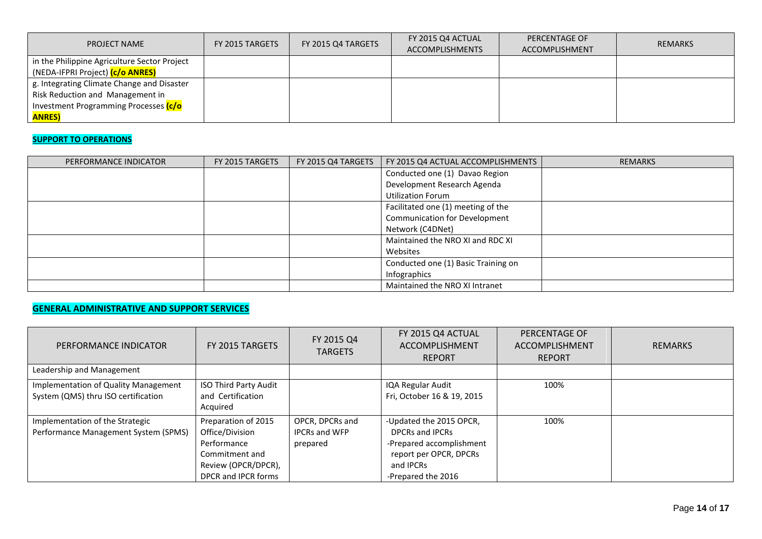| <b>PROJECT NAME</b>                           | FY 2015 TARGETS | FY 2015 Q4 TARGETS | FY 2015 Q4 ACTUAL<br><b>ACCOMPLISHMENTS</b> | PERCENTAGE OF<br>ACCOMPLISHMENT | <b>REMARKS</b> |
|-----------------------------------------------|-----------------|--------------------|---------------------------------------------|---------------------------------|----------------|
| in the Philippine Agriculture Sector Project  |                 |                    |                                             |                                 |                |
| (NEDA-IFPRI Project) <mark>(c/o ANRES)</mark> |                 |                    |                                             |                                 |                |
| g. Integrating Climate Change and Disaster    |                 |                    |                                             |                                 |                |
| Risk Reduction and Management in              |                 |                    |                                             |                                 |                |
| Investment Programming Processes (c/o         |                 |                    |                                             |                                 |                |
| <b>ANRES)</b>                                 |                 |                    |                                             |                                 |                |

# **SUPPORT TO OPERATIONS**

| PERFORMANCE INDICATOR | FY 2015 TARGETS | FY 2015 Q4 TARGETS | FY 2015 Q4 ACTUAL ACCOMPLISHMENTS   | <b>REMARKS</b> |
|-----------------------|-----------------|--------------------|-------------------------------------|----------------|
|                       |                 |                    | Conducted one (1) Davao Region      |                |
|                       |                 |                    | Development Research Agenda         |                |
|                       |                 |                    | <b>Utilization Forum</b>            |                |
|                       |                 |                    | Facilitated one (1) meeting of the  |                |
|                       |                 |                    | Communication for Development       |                |
|                       |                 |                    | Network (C4DNet)                    |                |
|                       |                 |                    | Maintained the NRO XI and RDC XI    |                |
|                       |                 |                    | Websites                            |                |
|                       |                 |                    | Conducted one (1) Basic Training on |                |
|                       |                 |                    | Infographics                        |                |
|                       |                 |                    | Maintained the NRO XI Intranet      |                |

# **GENERAL ADMINISTRATIVE AND SUPPORT SERVICES**

| PERFORMANCE INDICATOR                                                       | FY 2015 TARGETS                                                                                                       | FY 2015 Q4<br><b>TARGETS</b>                        | FY 2015 Q4 ACTUAL<br>ACCOMPLISHMENT<br><b>REPORT</b>                                                                                | PERCENTAGE OF<br>ACCOMPLISHMENT<br><b>REPORT</b> | <b>REMARKS</b> |
|-----------------------------------------------------------------------------|-----------------------------------------------------------------------------------------------------------------------|-----------------------------------------------------|-------------------------------------------------------------------------------------------------------------------------------------|--------------------------------------------------|----------------|
| Leadership and Management                                                   |                                                                                                                       |                                                     |                                                                                                                                     |                                                  |                |
| Implementation of Quality Management<br>System (QMS) thru ISO certification | ISO Third Party Audit<br>and Certification<br>Acquired                                                                |                                                     | IQA Regular Audit<br>Fri, October 16 & 19, 2015                                                                                     | 100%                                             |                |
| Implementation of the Strategic<br>Performance Management System (SPMS)     | Preparation of 2015<br>Office/Division<br>Performance<br>Commitment and<br>Review (OPCR/DPCR),<br>DPCR and IPCR forms | OPCR, DPCRs and<br><b>IPCRs and WFP</b><br>prepared | -Updated the 2015 OPCR,<br>DPCRs and IPCRs<br>-Prepared accomplishment<br>report per OPCR, DPCRs<br>and IPCRs<br>-Prepared the 2016 | 100%                                             |                |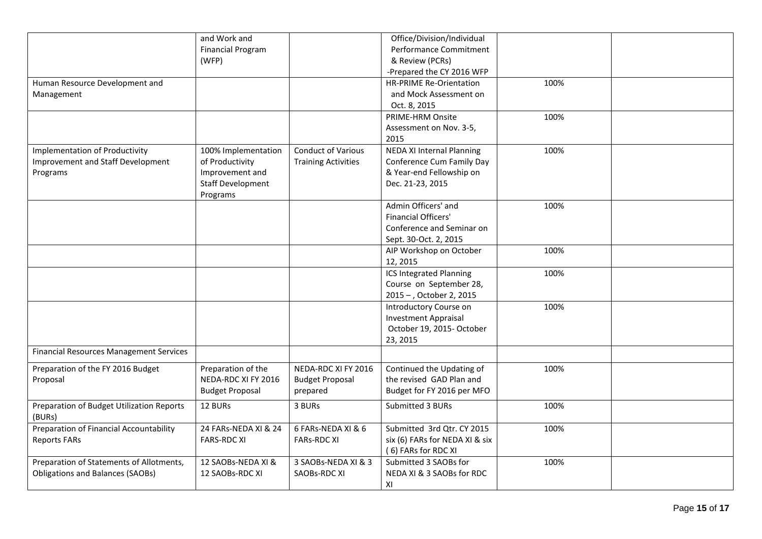|                                                     | and Work and             |                            | Office/Division/Individual       |      |  |
|-----------------------------------------------------|--------------------------|----------------------------|----------------------------------|------|--|
|                                                     | <b>Financial Program</b> |                            | Performance Commitment           |      |  |
|                                                     | (WFP)                    |                            | & Review (PCRs)                  |      |  |
|                                                     |                          |                            | -Prepared the CY 2016 WFP        |      |  |
| Human Resource Development and                      |                          |                            | <b>HR-PRIME Re-Orientation</b>   | 100% |  |
| Management                                          |                          |                            | and Mock Assessment on           |      |  |
|                                                     |                          |                            | Oct. 8, 2015                     |      |  |
|                                                     |                          |                            | PRIME-HRM Onsite                 | 100% |  |
|                                                     |                          |                            | Assessment on Nov. 3-5,          |      |  |
|                                                     |                          |                            | 2015                             |      |  |
| <b>Implementation of Productivity</b>               | 100% Implementation      | <b>Conduct of Various</b>  | <b>NEDA XI Internal Planning</b> | 100% |  |
| Improvement and Staff Development                   | of Productivity          | <b>Training Activities</b> | Conference Cum Family Day        |      |  |
| Programs                                            | Improvement and          |                            | & Year-end Fellowship on         |      |  |
|                                                     | <b>Staff Development</b> |                            | Dec. 21-23, 2015                 |      |  |
|                                                     | Programs                 |                            |                                  |      |  |
|                                                     |                          |                            | Admin Officers' and              | 100% |  |
|                                                     |                          |                            | <b>Financial Officers'</b>       |      |  |
|                                                     |                          |                            | Conference and Seminar on        |      |  |
|                                                     |                          |                            | Sept. 30-Oct. 2, 2015            |      |  |
|                                                     |                          |                            | AIP Workshop on October          | 100% |  |
|                                                     |                          |                            | 12, 2015                         |      |  |
|                                                     |                          |                            | <b>ICS Integrated Planning</b>   | 100% |  |
|                                                     |                          |                            | Course on September 28,          |      |  |
|                                                     |                          |                            | 2015 - , October 2, 2015         |      |  |
|                                                     |                          |                            | Introductory Course on           | 100% |  |
|                                                     |                          |                            | <b>Investment Appraisal</b>      |      |  |
|                                                     |                          |                            | October 19, 2015- October        |      |  |
|                                                     |                          |                            | 23, 2015                         |      |  |
| <b>Financial Resources Management Services</b>      |                          |                            |                                  |      |  |
| Preparation of the FY 2016 Budget                   | Preparation of the       | NEDA-RDC XI FY 2016        | Continued the Updating of        | 100% |  |
| Proposal                                            | NEDA-RDC XI FY 2016      | <b>Budget Proposal</b>     | the revised GAD Plan and         |      |  |
|                                                     | <b>Budget Proposal</b>   | prepared                   | Budget for FY 2016 per MFO       |      |  |
|                                                     |                          |                            |                                  |      |  |
| Preparation of Budget Utilization Reports<br>(BURs) | 12 BURs                  | 3 BURs                     | Submitted 3 BURs                 | 100% |  |
| Preparation of Financial Accountability             | 24 FARs-NEDA XI & 24     | 6 FARs-NEDA XI & 6         | Submitted 3rd Qtr. CY 2015       | 100% |  |
|                                                     |                          |                            |                                  |      |  |
| <b>Reports FARs</b>                                 | <b>FARS-RDC XI</b>       | <b>FARs-RDC XI</b>         | six (6) FARs for NEDA XI & six   |      |  |
|                                                     |                          |                            | (6) FARs for RDC XI              |      |  |
| Preparation of Statements of Allotments,            | 12 SAOBs-NEDA XI &       | 3 SAOBs-NEDA XI & 3        | Submitted 3 SAOBs for            | 100% |  |
| <b>Obligations and Balances (SAOBs)</b>             | 12 SAOBs-RDC XI          | SAOBs-RDC XI               | NEDA XI & 3 SAOBs for RDC        |      |  |
|                                                     |                          |                            | XI                               |      |  |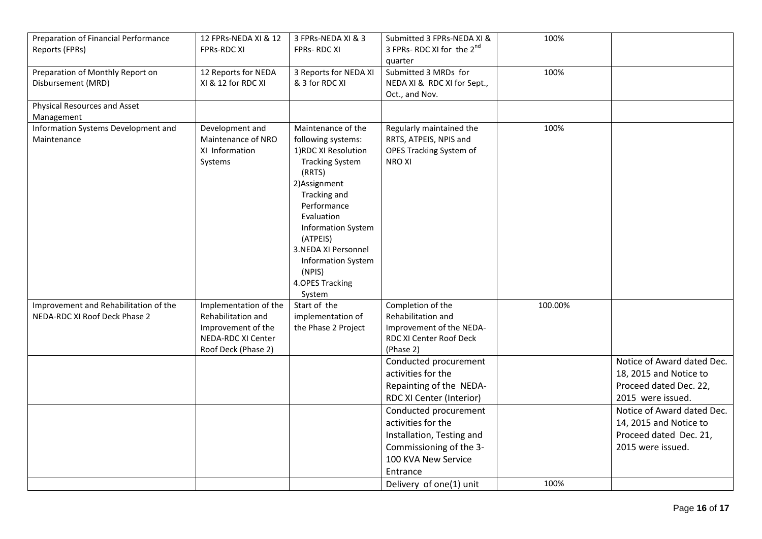| Preparation of Financial Performance<br>Reports (FPRs) | 12 FPRs-NEDA XI & 12<br><b>FPRs-RDC XI</b>                         | 3 FPRs-NEDA XI & 3<br><b>FPRs-RDCXI</b>                                                                                                                                                                                                                                                                | Submitted 3 FPRs-NEDA XI &<br>3 FPRs- RDC XI for the 2 <sup>nd</sup><br>quarter               | 100%    |                            |
|--------------------------------------------------------|--------------------------------------------------------------------|--------------------------------------------------------------------------------------------------------------------------------------------------------------------------------------------------------------------------------------------------------------------------------------------------------|-----------------------------------------------------------------------------------------------|---------|----------------------------|
| Preparation of Monthly Report on<br>Disbursement (MRD) | 12 Reports for NEDA<br>XI & 12 for RDC XI                          | 3 Reports for NEDA XI<br>& 3 for RDC XI                                                                                                                                                                                                                                                                | Submitted 3 MRDs for<br>NEDA XI & RDC XI for Sept.,<br>Oct., and Nov.                         | 100%    |                            |
| Physical Resources and Asset<br>Management             |                                                                    |                                                                                                                                                                                                                                                                                                        |                                                                                               |         |                            |
| Information Systems Development and<br>Maintenance     | Development and<br>Maintenance of NRO<br>XI Information<br>Systems | Maintenance of the<br>following systems:<br>1) RDC XI Resolution<br><b>Tracking System</b><br>(RRTS)<br>2) Assignment<br>Tracking and<br>Performance<br>Evaluation<br><b>Information System</b><br>(ATPEIS)<br>3.NEDA XI Personnel<br><b>Information System</b><br>(NPIS)<br>4.OPES Tracking<br>System | Regularly maintained the<br>RRTS, ATPEIS, NPIS and<br>OPES Tracking System of<br><b>NROXI</b> | 100%    |                            |
| Improvement and Rehabilitation of the                  | Implementation of the                                              | Start of the                                                                                                                                                                                                                                                                                           | Completion of the                                                                             | 100.00% |                            |
| NEDA-RDC XI Roof Deck Phase 2                          | Rehabilitation and                                                 | implementation of                                                                                                                                                                                                                                                                                      | Rehabilitation and                                                                            |         |                            |
|                                                        | Improvement of the                                                 | the Phase 2 Project                                                                                                                                                                                                                                                                                    | Improvement of the NEDA-                                                                      |         |                            |
|                                                        | NEDA-RDC XI Center                                                 |                                                                                                                                                                                                                                                                                                        | RDC XI Center Roof Deck                                                                       |         |                            |
|                                                        | Roof Deck (Phase 2)                                                |                                                                                                                                                                                                                                                                                                        | (Phase 2)<br>Conducted procurement                                                            |         | Notice of Award dated Dec. |
|                                                        |                                                                    |                                                                                                                                                                                                                                                                                                        | activities for the                                                                            |         | 18, 2015 and Notice to     |
|                                                        |                                                                    |                                                                                                                                                                                                                                                                                                        | Repainting of the NEDA-                                                                       |         | Proceed dated Dec. 22,     |
|                                                        |                                                                    |                                                                                                                                                                                                                                                                                                        | RDC XI Center (Interior)                                                                      |         | 2015 were issued.          |
|                                                        |                                                                    |                                                                                                                                                                                                                                                                                                        | Conducted procurement                                                                         |         | Notice of Award dated Dec. |
|                                                        |                                                                    |                                                                                                                                                                                                                                                                                                        | activities for the                                                                            |         | 14, 2015 and Notice to     |
|                                                        |                                                                    |                                                                                                                                                                                                                                                                                                        | Installation, Testing and                                                                     |         | Proceed dated Dec. 21,     |
|                                                        |                                                                    |                                                                                                                                                                                                                                                                                                        | Commissioning of the 3-                                                                       |         | 2015 were issued.          |
|                                                        |                                                                    |                                                                                                                                                                                                                                                                                                        | 100 KVA New Service                                                                           |         |                            |
|                                                        |                                                                    |                                                                                                                                                                                                                                                                                                        | Entrance                                                                                      |         |                            |
|                                                        |                                                                    |                                                                                                                                                                                                                                                                                                        | Delivery of one(1) unit                                                                       | 100%    |                            |